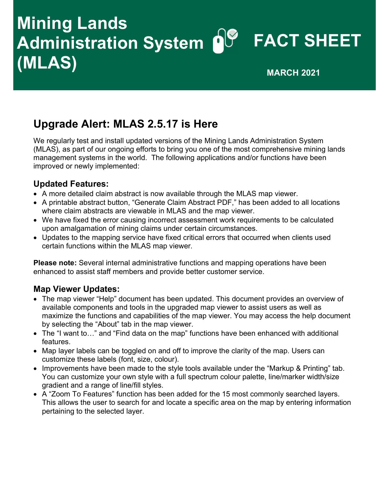## Administration System **O**U FACT SHEET Mining Lands  $(MLAS)$  MUAS)

### Upgrade Alert: MLAS 2.5.17 is Here

 We regularly test and install updated versions of the Mining Lands Administration System (MLAS), as part of our ongoing efforts to bring you one of the most comprehensive mining lands management systems in the world. The following applications and/or functions have been improved or newly implemented:

#### Updated Features:

- A more detailed claim abstract is now available through the MLAS map viewer.
- A printable abstract button, "Generate Claim Abstract PDF," has been added to all locations where claim abstracts are viewable in MLAS and the map viewer.
- We have fixed the error causing incorrect assessment work requirements to be calculated upon amalgamation of mining claims under certain circumstances.
- Updates to the mapping service have fixed critical errors that occurred when clients used certain functions within the MLAS map viewer.

Please note: Several internal administrative functions and mapping operations have been enhanced to assist staff members and provide better customer service.

#### Map Viewer Updates:

- The map viewer "Help" document has been updated. This document provides an overview of available components and tools in the upgraded map viewer to assist users as well as maximize the functions and capabilities of the map viewer. You may access the help document by selecting the "About" tab in the map viewer.
- The "I want to…" and "Find data on the map" functions have been enhanced with additional features.
- Map layer labels can be toggled on and off to improve the clarity of the map. Users can customize these labels (font, size, colour).
- Improvements have been made to the style tools available under the "Markup & Printing" tab. You can customize your own style with a full spectrum colour palette, line/marker width/size gradient and a range of line/fill styles.
- A "Zoom To Features" function has been added for the 15 most commonly searched layers. This allows the user to search for and locate a specific area on the map by entering information pertaining to the selected layer.